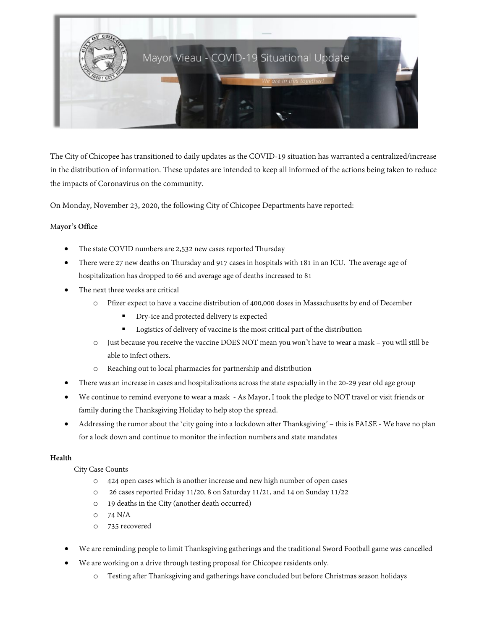

The City of Chicopee has transitioned to daily updates as the COVID-19 situation has warranted a centralized/increase in the distribution of information. These updates are intended to keep all informed of the actions being taken to reduce the impacts of Coronavirus on the community.

On Monday, November 23, 2020, the following City of Chicopee Departments have reported:

## M**ayor's Office**

- The state COVID numbers are 2,532 new cases reported Thursday
- There were 27 new deaths on Thursday and 917 cases in hospitals with 181 in an ICU. The average age of hospitalization has dropped to 66 and average age of deaths increased to 81
- The next three weeks are critical
	- o Pfizer expect to have a vaccine distribution of 400,000 doses in Massachusetts by end of December
		- Dry-ice and protected delivery is expected
		- **Logistics of delivery of vaccine is the most critical part of the distribution**
	- o Just because you receive the vaccine DOES NOT mean you won't have to wear a mask you will still be able to infect others.
	- Reaching out to local pharmacies for partnership and distribution
- There was an increase in cases and hospitalizations across the state especially in the 20-29 year old age group
- We continue to remind everyone to wear a mask As Mayor, I took the pledge to NOT travel or visit friends or family during the Thanksgiving Holiday to help stop the spread.
- Addressing the rumor about the 'city going into a lockdown after Thanksgiving' this is FALSE We have no plan for a lock down and continue to monitor the infection numbers and state mandates

## **Health**

City Case Counts

- o 424 open cases which is another increase and new high number of open cases
- o 26 cases reported Friday 11/20, 8 on Saturday 11/21, and 14 on Sunday 11/22
- o 19 deaths in the City (another death occurred)
- o 74 N/A
- o 735 recovered
- We are reminding people to limit Thanksgiving gatherings and the traditional Sword Football game was cancelled
- We are working on a drive through testing proposal for Chicopee residents only.
	- o Testing after Thanksgiving and gatherings have concluded but before Christmas season holidays